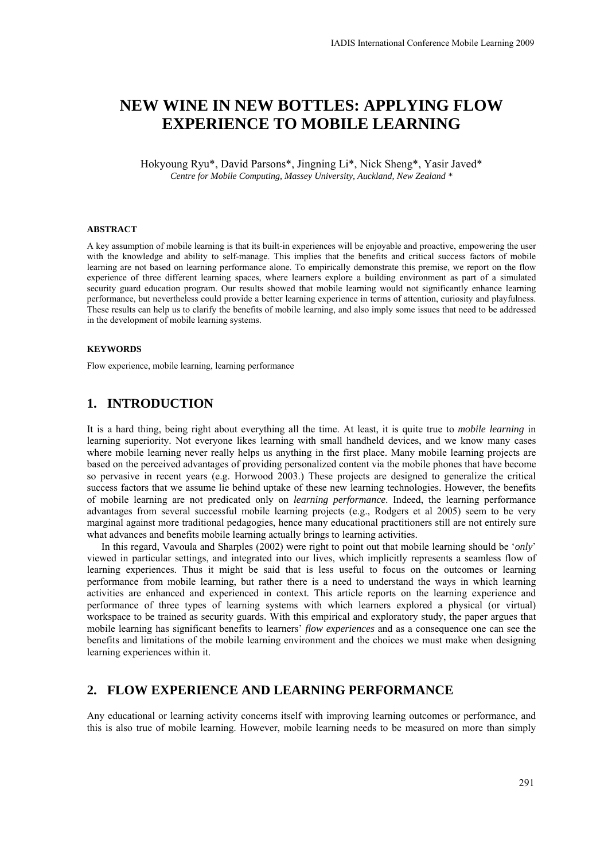# **NEW WINE IN NEW BOTTLES: APPLYING FLOW EXPERIENCE TO MOBILE LEARNING**

Hokyoung Ryu\*, David Parsons\*, Jingning Li\*, Nick Sheng\*, Yasir Javed\* *Centre for Mobile Computing, Massey University, Auckland, New Zealand \** 

#### **ABSTRACT**

A key assumption of mobile learning is that its built-in experiences will be enjoyable and proactive, empowering the user with the knowledge and ability to self-manage. This implies that the benefits and critical success factors of mobile learning are not based on learning performance alone. To empirically demonstrate this premise, we report on the flow experience of three different learning spaces, where learners explore a building environment as part of a simulated security guard education program. Our results showed that mobile learning would not significantly enhance learning performance, but nevertheless could provide a better learning experience in terms of attention, curiosity and playfulness. These results can help us to clarify the benefits of mobile learning, and also imply some issues that need to be addressed in the development of mobile learning systems.

#### **KEYWORDS**

Flow experience, mobile learning, learning performance

### **1. INTRODUCTION**

It is a hard thing, being right about everything all the time. At least, it is quite true to *mobile learning* in learning superiority. Not everyone likes learning with small handheld devices, and we know many cases where mobile learning never really helps us anything in the first place. Many mobile learning projects are based on the perceived advantages of providing personalized content via the mobile phones that have become so pervasive in recent years (e.g. Horwood 2003.) These projects are designed to generalize the critical success factors that we assume lie behind uptake of these new learning technologies. However, the benefits of mobile learning are not predicated only on *learning performance*. Indeed, the learning performance advantages from several successful mobile learning projects (e.g., Rodgers et al 2005) seem to be very marginal against more traditional pedagogies, hence many educational practitioners still are not entirely sure what advances and benefits mobile learning actually brings to learning activities.

In this regard, Vavoula and Sharples (2002) were right to point out that mobile learning should be '*only*' viewed in particular settings, and integrated into our lives, which implicitly represents a seamless flow of learning experiences. Thus it might be said that is less useful to focus on the outcomes or learning performance from mobile learning, but rather there is a need to understand the ways in which learning activities are enhanced and experienced in context. This article reports on the learning experience and performance of three types of learning systems with which learners explored a physical (or virtual) workspace to be trained as security guards. With this empirical and exploratory study, the paper argues that mobile learning has significant benefits to learners' *flow experiences* and as a consequence one can see the benefits and limitations of the mobile learning environment and the choices we must make when designing learning experiences within it.

## **2. FLOW EXPERIENCE AND LEARNING PERFORMANCE**

Any educational or learning activity concerns itself with improving learning outcomes or performance, and this is also true of mobile learning. However, mobile learning needs to be measured on more than simply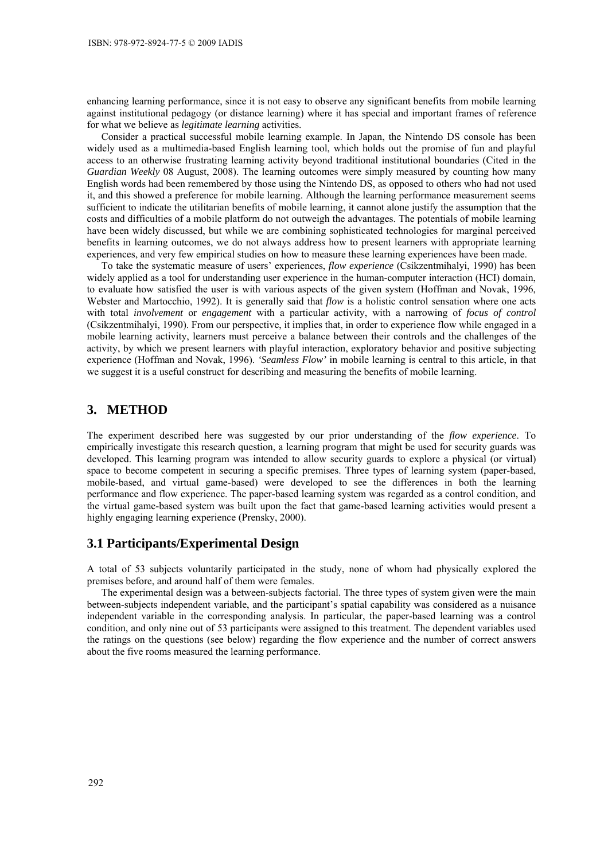enhancing learning performance, since it is not easy to observe any significant benefits from mobile learning against institutional pedagogy (or distance learning) where it has special and important frames of reference for what we believe as *legitimate learning* activities.

Consider a practical successful mobile learning example. In Japan, the Nintendo DS console has been widely used as a multimedia-based English learning tool, which holds out the promise of fun and playful access to an otherwise frustrating learning activity beyond traditional institutional boundaries (Cited in the *Guardian Weekly* 08 August, 2008). The learning outcomes were simply measured by counting how many English words had been remembered by those using the Nintendo DS, as opposed to others who had not used it, and this showed a preference for mobile learning. Although the learning performance measurement seems sufficient to indicate the utilitarian benefits of mobile learning, it cannot alone justify the assumption that the costs and difficulties of a mobile platform do not outweigh the advantages. The potentials of mobile learning have been widely discussed, but while we are combining sophisticated technologies for marginal perceived benefits in learning outcomes, we do not always address how to present learners with appropriate learning experiences, and very few empirical studies on how to measure these learning experiences have been made.

To take the systematic measure of users' experiences, *flow experience* (Csikzentmihalyi, 1990) has been widely applied as a tool for understanding user experience in the human-computer interaction (HCI) domain, to evaluate how satisfied the user is with various aspects of the given system (Hoffman and Novak, 1996, Webster and Martocchio, 1992). It is generally said that *flow* is a holistic control sensation where one acts with total *involvement* or *engagement* with a particular activity, with a narrowing of *focus of control* (Csikzentmihalyi, 1990). From our perspective, it implies that, in order to experience flow while engaged in a mobile learning activity, learners must perceive a balance between their controls and the challenges of the activity, by which we present learners with playful interaction, exploratory behavior and positive subjecting experience (Hoffman and Novak, 1996). *'Seamless Flow'* in mobile learning is central to this article, in that we suggest it is a useful construct for describing and measuring the benefits of mobile learning.

### **3. METHOD**

The experiment described here was suggested by our prior understanding of the *flow experience*. To empirically investigate this research question, a learning program that might be used for security guards was developed. This learning program was intended to allow security guards to explore a physical (or virtual) space to become competent in securing a specific premises. Three types of learning system (paper-based, mobile-based, and virtual game-based) were developed to see the differences in both the learning performance and flow experience. The paper-based learning system was regarded as a control condition, and the virtual game-based system was built upon the fact that game-based learning activities would present a highly engaging learning experience (Prensky, 2000).

### **3.1 Participants/Experimental Design**

A total of 53 subjects voluntarily participated in the study, none of whom had physically explored the premises before, and around half of them were females.

The experimental design was a between-subjects factorial. The three types of system given were the main between-subjects independent variable, and the participant's spatial capability was considered as a nuisance independent variable in the corresponding analysis. In particular, the paper-based learning was a control condition, and only nine out of 53 participants were assigned to this treatment. The dependent variables used the ratings on the questions (see below) regarding the flow experience and the number of correct answers about the five rooms measured the learning performance.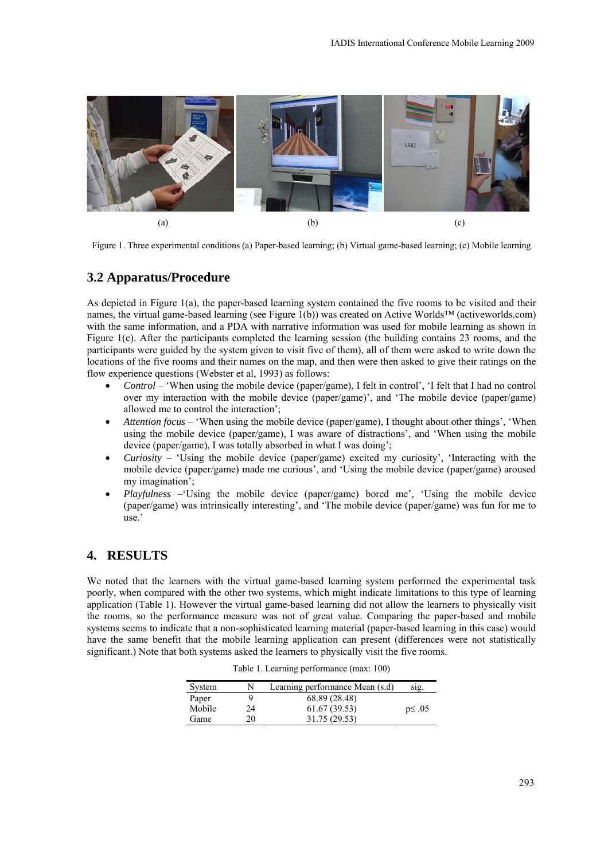

Figure 1. Three experimental conditions (a) Paper-based learning; (b) Virtual game-based learning; (c) Mobile learning

# **3.2 Apparatus/Procedure**

As depicted in Figure 1(a), the paper-based learning system contained the five rooms to be visited and their names, the virtual game-based learning (see Figure 1(b)) was created on Active Worlds™ (activeworlds.com) with the same information, and a PDA with narrative information was used for mobile learning as shown in Figure 1(c). After the participants completed the learning session (the building contains 23 rooms, and the participants were guided by the system given to visit five of them), all of them were asked to write down the locations of the five rooms and their names on the map, and then were then asked to give their ratings on the flow experience questions (Webster et al, 1993) as follows:

- *Control* 'When using the mobile device (paper/game), I felt in control', 'I felt that I had no control over my interaction with the mobile device (paper/game)', and 'The mobile device (paper/game) allowed me to control the interaction';
- *Attention focus* 'When using the mobile device (paper/game), I thought about other things', 'When using the mobile device (paper/game), I was aware of distractions', and 'When using the mobile device (paper/game), I was totally absorbed in what I was doing';
- *Curiosity* 'Using the mobile device (paper/game) excited my curiosity', 'Interacting with the mobile device (paper/game) made me curious', and 'Using the mobile device (paper/game) aroused my imagination';
- *Playfulness* –'Using the mobile device (paper/game) bored me', 'Using the mobile device (paper/game) was intrinsically interesting', and 'The mobile device (paper/game) was fun for me to use.'

# **4. RESULTS**

We noted that the learners with the virtual game-based learning system performed the experimental task poorly, when compared with the other two systems, which might indicate limitations to this type of learning application (Table 1). However the virtual game-based learning did not allow the learners to physically visit the rooms, so the performance measure was not of great value. Comparing the paper-based and mobile systems seems to indicate that a non-sophisticated learning material (paper-based learning in this case) would have the same benefit that the mobile learning application can present (differences were not statistically significant.) Note that both systems asked the learners to physically visit the five rooms.

| System |    | Learning performance Mean (s.d) | SIg.         |
|--------|----|---------------------------------|--------------|
| Paper  |    | 68.89 (28.48)                   |              |
| Mobile | 24 | 61.67(39.53)                    | $p \leq .05$ |
| Game   | 20 | 31.75 (29.53)                   |              |

Table 1. Learning performance (max: 100)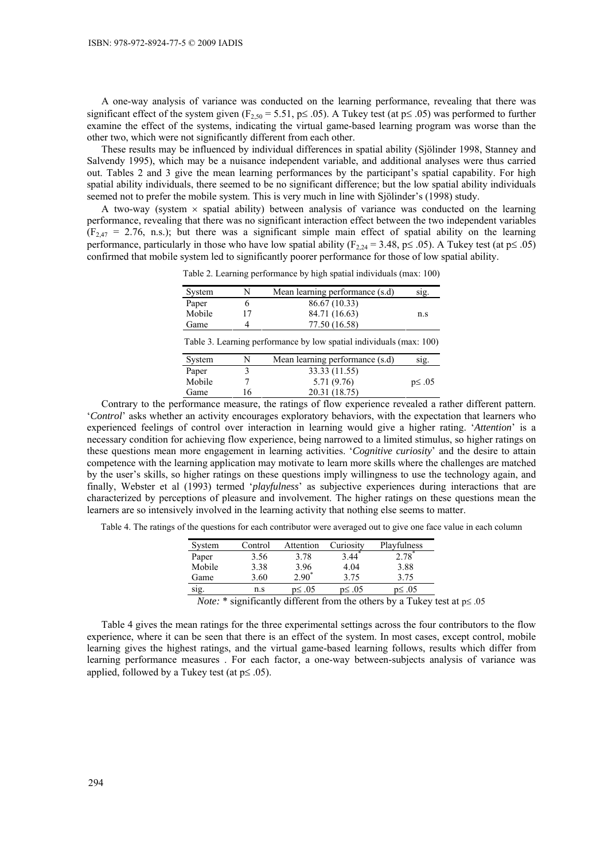A one-way analysis of variance was conducted on the learning performance, revealing that there was significant effect of the system given ( $F_{2,50} = 5.51$ ,  $p \le 0.05$ ). A Tukey test (at  $p \le 0.05$ ) was performed to further examine the effect of the systems, indicating the virtual game-based learning program was worse than the other two, which were not significantly different from each other.

These results may be influenced by individual differences in spatial ability (Sjölinder 1998, Stanney and Salvendy 1995), which may be a nuisance independent variable, and additional analyses were thus carried out. Tables 2 and 3 give the mean learning performances by the participant's spatial capability. For high spatial ability individuals, there seemed to be no significant difference; but the low spatial ability individuals seemed not to prefer the mobile system. This is very much in line with Sjölinder's (1998) study.

A two-way (system  $\times$  spatial ability) between analysis of variance was conducted on the learning performance, revealing that there was no significant interaction effect between the two independent variables  $(F_{2,47} = 2.76, n.s.)$ ; but there was a significant simple main effect of spatial ability on the learning performance, particularly in those who have low spatial ability ( $F_{2,24} = 3.48$ ,  $p \le 0.05$ ). A Tukey test (at  $p \le 0.05$ ) confirmed that mobile system led to significantly poorer performance for those of low spatial ability.

Table 2. Learning performance by high spatial individuals (max: 100)

| System | N | Mean learning performance (s.d) | SIg. |
|--------|---|---------------------------------|------|
| Paper  |   | 86.67 (10.33)                   |      |
| Mobile |   | 84.71 (16.63)                   | n.s  |
| Game   |   | 77.50 (16.58)                   |      |
|        |   |                                 |      |

Table 3. Learning performance by low spatial individuals (max: 100)

| System |     | Mean learning performance (s.d) | SIg.         |
|--------|-----|---------------------------------|--------------|
| Paper  |     | 33.33 (11.55)                   |              |
| Mobile |     | 5.71 (9.76)                     | $p \leq .05$ |
| Game   | i 6 | 20.31 (18.75)                   |              |
|        |     |                                 |              |

Contrary to the performance measure, the ratings of flow experience revealed a rather different pattern. '*Control*' asks whether an activity encourages exploratory behaviors, with the expectation that learners who experienced feelings of control over interaction in learning would give a higher rating. '*Attention*' is a necessary condition for achieving flow experience, being narrowed to a limited stimulus, so higher ratings on these questions mean more engagement in learning activities. '*Cognitive curiosity*' and the desire to attain competence with the learning application may motivate to learn more skills where the challenges are matched by the user's skills, so higher ratings on these questions imply willingness to use the technology again, and finally, Webster et al (1993) termed '*playfulness*' as subjective experiences during interactions that are characterized by perceptions of pleasure and involvement. The higher ratings on these questions mean the learners are so intensively involved in the learning activity that nothing else seems to matter.

Table 4. The ratings of the questions for each contributor were averaged out to give one face value in each column

| System         | Control | Attention    | Curiosity | Playfulness |
|----------------|---------|--------------|-----------|-------------|
| Paper          | 3.56    | 3.78         | 3.44      | 2.78        |
| Mobile         | 3.38    | 3.96         | 4.04      | 3.88        |
| Game           | 3.60    | $2.90*$      | 3.75      | 3.75        |
| $\sim$<br>sig. | n.s     | $p \leq .05$ | p≤ .05    | p≤ .05      |

*Note:* \* significantly different from the others by a Tukey test at p≤.05

Table 4 gives the mean ratings for the three experimental settings across the four contributors to the flow experience, where it can be seen that there is an effect of the system. In most cases, except control, mobile learning gives the highest ratings, and the virtual game-based learning follows, results which differ from learning performance measures . For each factor, a one-way between-subjects analysis of variance was applied, followed by a Tukey test (at  $p \leq .05$ ).